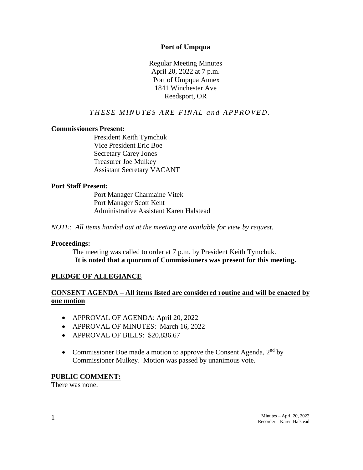#### **Port of Umpqua**

Regular Meeting Minutes April 20, 2022 at 7 p.m. Port of Umpqua Annex 1841 Winchester Ave Reedsport, OR

# **THESE MINUTES ARE FINAL and APPROVED.**

#### **Commissioners Present:**

President Keith Tymchuk Vice President Eric Boe Secretary Carey Jones Treasurer Joe Mulkey Assistant Secretary VACANT

#### **Port Staff Present:**

Port Manager Charmaine Vitek Port Manager Scott Kent Administrative Assistant Karen Halstead

*NOTE: All items handed out at the meeting are available for view by request.*

#### **Proceedings:**

The meeting was called to order at 7 p.m. by President Keith Tymchuk. **It is noted that a quorum of Commissioners was present for this meeting.**

# **PLEDGE OF ALLEGIANCE**

# **CONSENT AGENDA – All items listed are considered routine and will be enacted by one motion**

- APPROVAL OF AGENDA: April 20, 2022
- APPROVAL OF MINUTES: March 16, 2022
- APPROVAL OF BILLS: \$20,836.67
- Commissioner Boe made a motion to approve the Consent Agenda,  $2<sup>nd</sup>$  by Commissioner Mulkey. Motion was passed by unanimous vote.

#### **PUBLIC COMMENT:**

There was none.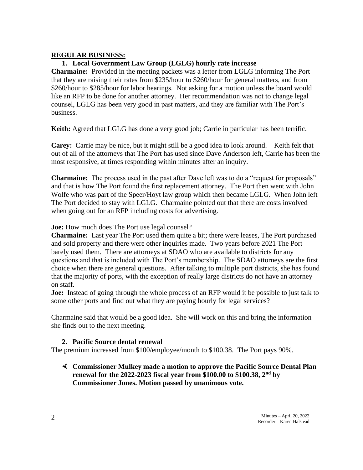#### **REGULAR BUSINESS:**

# **1. Local Government Law Group (LGLG) hourly rate increase**

**Charmaine:** Provided in the meeting packets was a letter from LGLG informing The Port that they are raising their rates from \$235/hour to \$260/hour for general matters, and from \$260/hour to \$285/hour for labor hearings. Not asking for a motion unless the board would like an RFP to be done for another attorney. Her recommendation was not to change legal counsel, LGLG has been very good in past matters, and they are familiar with The Port's business.

**Keith:** Agreed that LGLG has done a very good job; Carrie in particular has been terrific.

**Carey:** Carrie may be nice, but it might still be a good idea to look around. Keith felt that out of all of the attorneys that The Port has used since Dave Anderson left, Carrie has been the most responsive, at times responding within minutes after an inquiry.

**Charmaine:** The process used in the past after Dave left was to do a "request for proposals" and that is how The Port found the first replacement attorney. The Port then went with John Wolfe who was part of the Speer/Hoyt law group which then became LGLG. When John left The Port decided to stay with LGLG. Charmaine pointed out that there are costs involved when going out for an RFP including costs for advertising.

**Joe:** How much does The Port use legal counsel?

**Charmaine:** Last year The Port used them quite a bit; there were leases, The Port purchased and sold property and there were other inquiries made. Two years before 2021 The Port barely used them. There are attorneys at SDAO who are available to districts for any questions and that is included with The Port's membership. The SDAO attorneys are the first choice when there are general questions. After talking to multiple port districts, she has found that the majority of ports, with the exception of really large districts do not have an attorney on staff.

**Joe:** Instead of going through the whole process of an RFP would it be possible to just talk to some other ports and find out what they are paying hourly for legal services?

Charmaine said that would be a good idea. She will work on this and bring the information she finds out to the next meeting.

# **2. Pacific Source dental renewal**

The premium increased from \$100/employee/month to \$100.38. The Port pays 90%.

 **Commissioner Mulkey made a motion to approve the Pacific Source Dental Plan renewal for the 2022-2023 fiscal year from \$100.00 to \$100.38, 2nd by Commissioner Jones. Motion passed by unanimous vote.**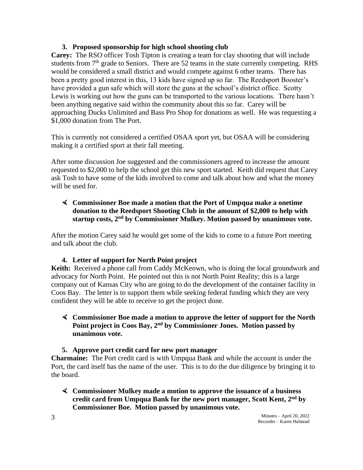#### **3. Proposed sponsorship for high school shooting club**

**Carey:** The RSO officer Tosh Tipton is creating a team for clay shooting that will include students from  $7<sup>th</sup>$  grade to Seniors. There are 52 teams in the state currently competing. RHS would be considered a small district and would compete against 6 other teams. There has been a pretty good interest in this, 13 kids have signed up so far. The Reedsport Booster's have provided a gun safe which will store the guns at the school's district office. Scotty Lewis is working out how the guns can be transported to the various locations. There hasn't been anything negative said within the community about this so far. Carey will be approaching Ducks Unlimited and Bass Pro Shop for donations as well. He was requesting a \$1,000 donation from The Port.

This is currently not considered a certified OSAA sport yet, but OSAA will be considering making it a certified sport at their fall meeting.

After some discussion Joe suggested and the commissioners agreed to increase the amount requested to \$2,000 to help the school get this new sport started. Keith did request that Carey ask Tosh to have some of the kids involved to come and talk about how and what the money will be used for.

# **Commissioner Boe made a motion that the Port of Umpqua make a onetime donation to the Reedsport Shooting Club in the amount of \$2,000 to help with startup costs, 2nd by Commissioner Mulkey. Motion passed by unanimous vote.**

After the motion Carey said he would get some of the kids to come to a future Port meeting and talk about the club.

# **4. Letter of support for North Point project**

**Keith:** Received a phone call from Caddy McKeown, who is doing the local groundwork and advocacy for North Point. He pointed out this is not North Point Reality; this is a large company out of Kansas City who are going to do the development of the container facility in Coos Bay. The letter is to support them while seeking federal funding which they are very confident they will be able to receive to get the project done.

# **Commissioner Boe made a motion to approve the letter of support for the North Point project in Coos Bay, 2nd by Commissioner Jones. Motion passed by unanimous vote.**

# **5. Approve port credit card for new port manager**

**Charmaine:** The Port credit card is with Umpqua Bank and while the account is under the Port, the card itself has the name of the user. This is to do the due diligence by bringing it to the board.

 **Commissioner Mulkey made a motion to approve the issuance of a business credit card from Umpqua Bank for the new port manager, Scott Kent, 2nd by Commissioner Boe. Motion passed by unanimous vote.**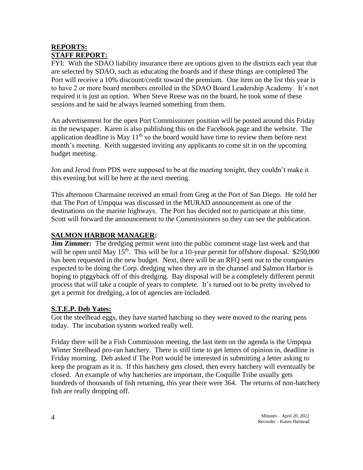# **REPORTS: STAFF REPORT:**

FYI: With the SDAO liability insurance there are options given to the districts each year that are selected by SDAO, such as educating the boards and if these things are completed The Port will receive a 10% discount/credit toward the premium. One item on the list this year is to have 2 or more board members enrolled in the SDAO Board Leadership Academy. It's not required it is just an option. When Steve Reese was on the board, he took some of these sessions and he said he always learned something from them.

An advertisement for the open Port Commissioner position will be posted around this Friday in the newspaper. Karen is also publishing this on the Facebook page and the website. The application deadline is May  $11<sup>th</sup>$  so the board would have time to review them before next month's meeting. Keith suggested inviting any applicants to come sit in on the upcoming budget meeting.

Jon and Jerod from PDS were supposed to be at the meeting tonight, they couldn't make it this evening but will be here at the next meeting.

This afternoon Charmaine received an email from Greg at the Port of San Diego. He told her that The Port of Umpqua was discussed in the MURAD announcement as one of the destinations on the marine highways. The Port has decided not to participate at this time. Scott will forward the announcement to the Commissioners so they can see the publication.

# **SALMON HARBOR MANAGER:**

**Jim Zimmer:** The dredging permit went into the public comment stage last week and that will be open until May  $15<sup>th</sup>$ . This will be for a 10-year permit for offshore disposal. \$250,000 has been requested in the new budget. Next, there will be an RFQ sent out to the companies expected to be doing the Corp. dredging when they are in the channel and Salmon Harbor is hoping to piggyback off of this dredging. Bay disposal will be a completely different permit process that will take a couple of years to complete. It's turned out to be pretty involved to get a permit for dredging, a lot of agencies are included.

# **S.T.E.P. Deb Yates:**

Got the steelhead eggs, they have started hatching so they were moved to the rearing pens today. The incubation system worked really well.

Friday there will be a Fish Commission meeting, the last item on the agenda is the Umpqua Winter Steelhead pro-ran hatchery. There is still time to get letters of opinion in, deadline is Friday morning. Deb asked if The Port would be interested in submitting a letter asking to keep the program as it is. If this hatchery gets closed, then every hatchery will eventually be closed. An example of why hatcheries are important, the Coquille Tribe usually gets hundreds of thousands of fish returning, this year there were 364. The returns of non-hatchery fish are really dropping off.